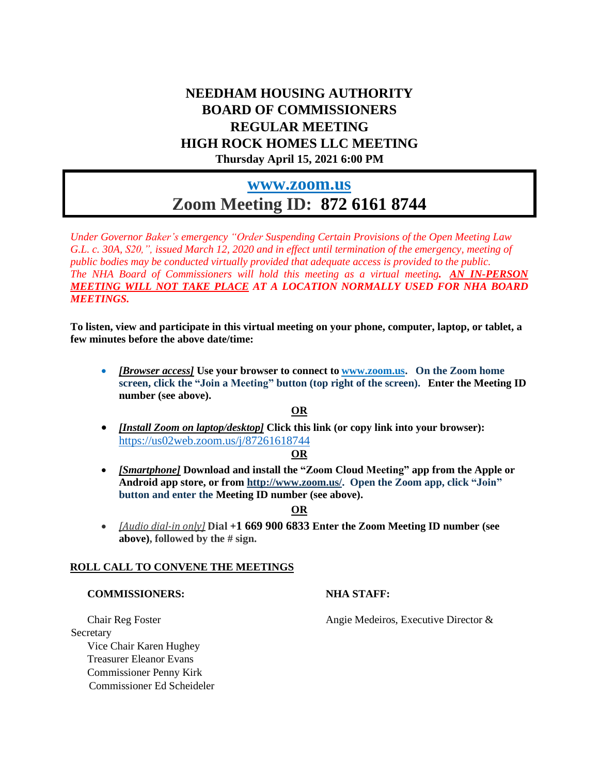# **NEEDHAM HOUSING AUTHORITY BOARD OF COMMISSIONERS REGULAR MEETING HIGH ROCK HOMES LLC MEETING Thursday April 15, 2021 6:00 PM**

# **[www.zoom.us](http://www.zoom.us/) Zoom Meeting ID: 872 6161 8744**

*Under Governor Baker's emergency "Order Suspending Certain Provisions of the Open Meeting Law* G.L. c. 30A, S20,", issued March 12, 2020 and in effect until termination of the emergency, meeting of *public bodies may be conducted virtually provided that adequate access is provided to the public. The NHA Board of Commissioners will hold this meeting as a virtual meeting. AN IN-PERSON MEETING WILL NOT TAKE PLACE AT A LOCATION NORMALLY USED FOR NHA BOARD MEETINGS.*

**To listen, view and participate in this virtual meeting on your phone, computer, laptop, or tablet, a few minutes before the above date/time:**

• *[Browser access]* **Use your browser to connect to [www.zoom.us.](http://www.zoom.us/) On the Zoom home screen, click the "Join a Meeting" button (top right of the screen). Enter the Meeting ID number (see above).**

## **OR**

• *[Install Zoom on laptop/desktop]* **Click this link (or copy link into your browser):**  [https://us02web.zoom.us/j/8](https://us02web.zoom.us/j/84080111402)7261618744

## **OR**

• *[Smartphone]* **Download and install the "Zoom Cloud Meeting" app from the Apple or Android app store, or from [http://www.zoom.us/.](http://www.zoom.us/) Open the Zoom app, click "Join" button and enter the Meeting ID number (see above).**

## **OR**

• *[Audio dial-in only]* **Dial +1 669 900 6833 Enter the Zoom Meeting ID number (see above), followed by the # sign.**

## **ROLL CALL TO CONVENE THE MEETINGS**

## **COMMISSIONERS: NHA STAFF:**

Secretary Vice Chair Karen Hughey Treasurer Eleanor Evans Commissioner Penny Kirk Commissioner Ed Scheideler

Chair Reg Foster Angie Medeiros, Executive Director &